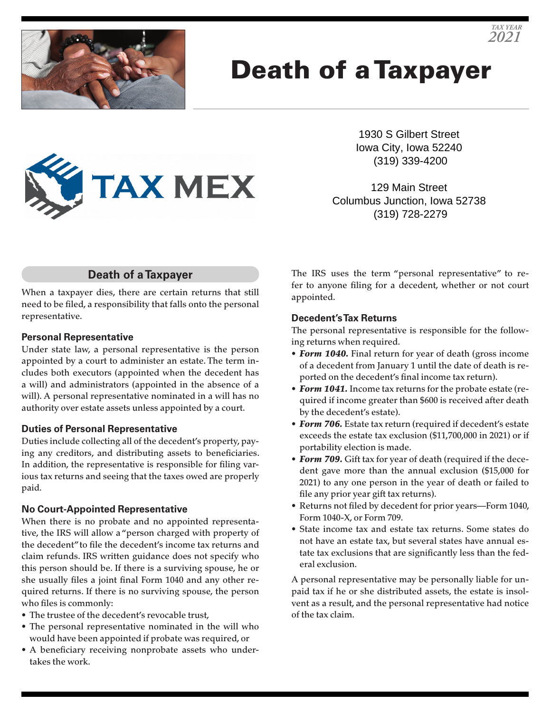

# Death of a Taxpayer



129 Main Street Columbus Junction, Iowa 52738 (319) 728-2279

# **Death of a Taxpayer**

**TAX MEX** 

When a taxpayer dies, there are certain returns that still need to be filed, a responsibility that falls onto the personal representative.

## **Personal Representative**

Under state law, a personal representative is the person appointed by a court to administer an estate. The term includes both executors (appointed when the decedent has a will) and administrators (appointed in the absence of a will). A personal representative nominated in a will has no authority over estate assets unless appointed by a court.

#### **Duties of Personal Representative**

Duties include collecting all of the decedent's property, paying any creditors, and distributing assets to beneficiaries. In addition, the representative is responsible for filing various tax returns and seeing that the taxes owed are properly paid.

# **No Court-Appointed Representative**

When there is no probate and no appointed representative, the IRS will allow a "person charged with property of the decedent" to file the decedent's income tax returns and claim refunds. IRS written guidance does not specify who this person should be. If there is a surviving spouse, he or she usually files a joint final Form 1040 and any other required returns. If there is no surviving spouse, the person who files is commonly:

- The trustee of the decedent's revocable trust,
- The personal representative nominated in the will who would have been appointed if probate was required, or
- A beneficiary receiving nonprobate assets who undertakes the work.

The IRS uses the term "personal representative" to refer to anyone filing for a decedent, whether or not court appointed.

## **Decedent's Tax Returns**

The personal representative is responsible for the following returns when required.

- *Form 1040.* Final return for year of death (gross income of a decedent from January 1 until the date of death is reported on the decedent's final income tax return).
- *Form 1041.* Income tax returns for the probate estate (required if income greater than \$600 is received after death by the decedent's estate).
- *Form 706.* Estate tax return (required if decedent's estate exceeds the estate tax exclusion (\$11,700,000 in 2021) or if portability election is made.
- *Form 709.* Gift tax for year of death (required if the decedent gave more than the annual exclusion (\$15,000 for 2021) to any one person in the year of death or failed to file any prior year gift tax returns).
- Returns not filed by decedent for prior years—Form 1040, Form 1040-X, or Form 709.
- State income tax and estate tax returns. Some states do not have an estate tax, but several states have annual estate tax exclusions that are significantly less than the federal exclusion.

A personal representative may be personally liable for unpaid tax if he or she distributed assets, the estate is insolvent as a result, and the personal representative had notice of the tax claim.